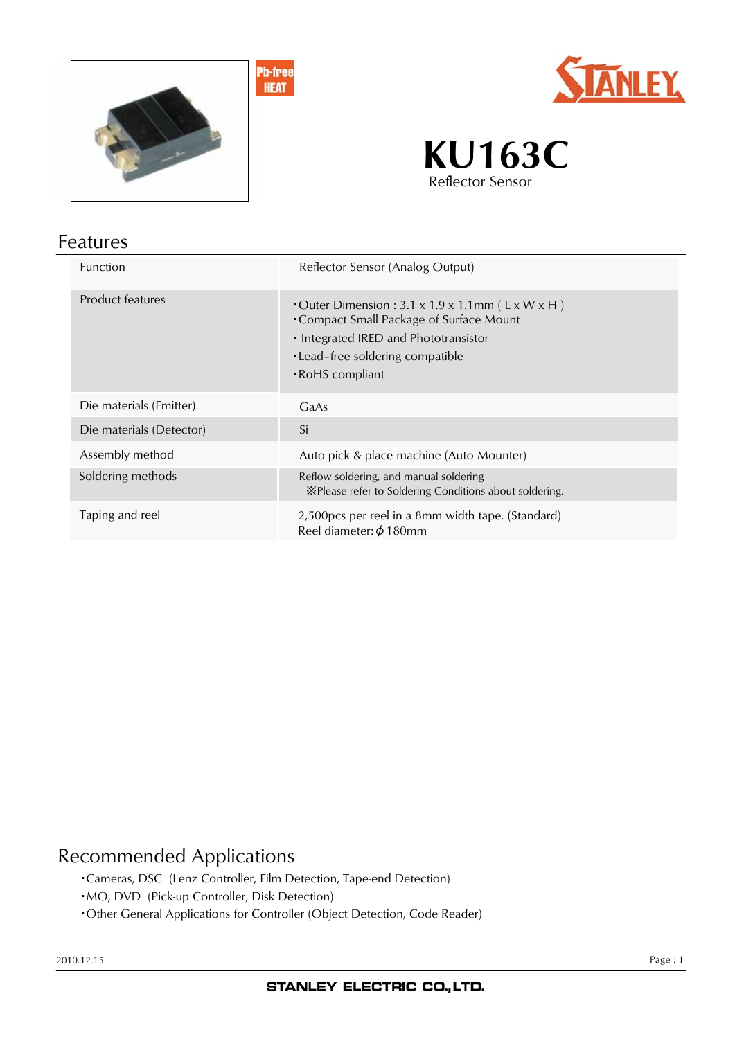



**KU163C** Reflector Sensor

# Features

| <b>Function</b>          | Reflector Sensor (Analog Output)                                                                                                                                                                                         |
|--------------------------|--------------------------------------------------------------------------------------------------------------------------------------------------------------------------------------------------------------------------|
| Product features         | • Outer Dimension : $3.1 \times 1.9 \times 1.1$ mm (L $\times$ W $\times$ H)<br>• Compact Small Package of Surface Mount<br>• Integrated IRED and Phototransistor<br>•Lead-free soldering compatible<br>• RoHS compliant |
| Die materials (Emitter)  | GaAs                                                                                                                                                                                                                     |
| Die materials (Detector) | Si                                                                                                                                                                                                                       |
| Assembly method          | Auto pick & place machine (Auto Mounter)                                                                                                                                                                                 |
| Soldering methods        | Reflow soldering, and manual soldering<br>X Please refer to Soldering Conditions about soldering.                                                                                                                        |
| Taping and reel          | 2,500 pcs per reel in a 8 mm width tape. (Standard)<br>Reel diameter: $\phi$ 180mm                                                                                                                                       |

#### Recommended Applications

- ・Cameras, DSC (Lenz Controller, Film Detection, Tape-end Detection)
- ・MO, DVD (Pick-up Controller, Disk Detection)
- ・Other General Applications for Controller (Object Detection, Code Reader)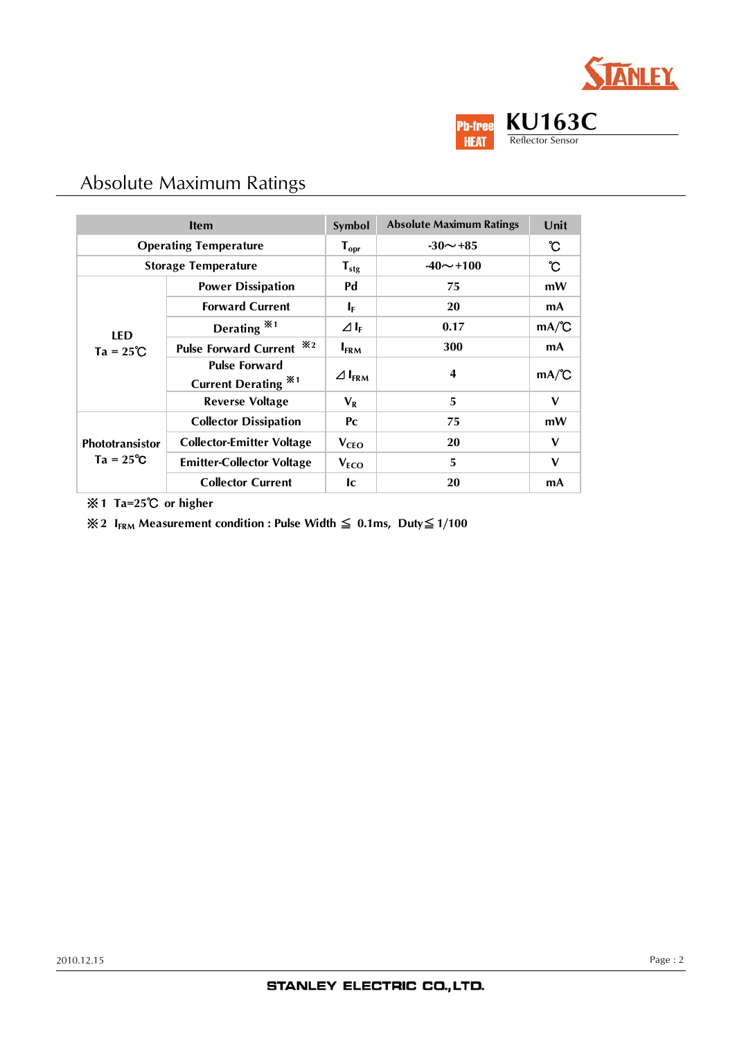



### Absolute Maximum Ratings

| <b>Item</b>                                  |                                                    | Symbol                  | <b>Absolute Maximum Ratings</b> | Unit         |
|----------------------------------------------|----------------------------------------------------|-------------------------|---------------------------------|--------------|
| <b>Operating Temperature</b>                 |                                                    | $T_{\text{opr}}$        | $-30 \sim +85$                  | ົບ           |
| <b>Storage Temperature</b>                   |                                                    | $T_{\text{stg}}$        | $-40 \sim +100$                 | ີ C          |
| <b>LED</b><br>$Ta = 25^{\circ}C$             | <b>Power Dissipation</b>                           | Pd                      | 75                              | mW           |
|                                              | <b>Forward Current</b>                             | $I_{\rm F}$             | 20                              | mA           |
|                                              | Derating $*1$                                      | $\Delta I_{\rm F}$      | 0.17                            | mA/C         |
|                                              | Pulse Forward Current *2                           | $I_{\text{FRM}}$        | 300                             | mA           |
|                                              | <b>Pulse Forward</b><br><b>Current Derating *1</b> | $\Delta I_{\text{FRM}}$ | 4                               | mA/C         |
|                                              | <b>Reverse Voltage</b>                             | $V_{R}$                 | 5                               | $\mathbf{V}$ |
| <b>Phototransistor</b><br>$Ta = 25^{\circ}C$ | <b>Collector Dissipation</b>                       | $P_{C}$                 | 75                              | mW           |
|                                              | <b>Collector-Emitter Voltage</b>                   | $V_{\text{CEO}}$        | 20                              | $\mathbf v$  |
|                                              | <b>Emitter-Collector Voltage</b>                   | $V_{ECO}$               | 5                               | $\mathbf v$  |
|                                              | <b>Collector Current</b>                           | <b>Ic</b>               | 20                              | mA           |

※**1 Ta=25**℃ **or higher**

※**2 IFRM Measurement condition : Pulse Width** ≦ **0.1ms, Duty**≦**1/100**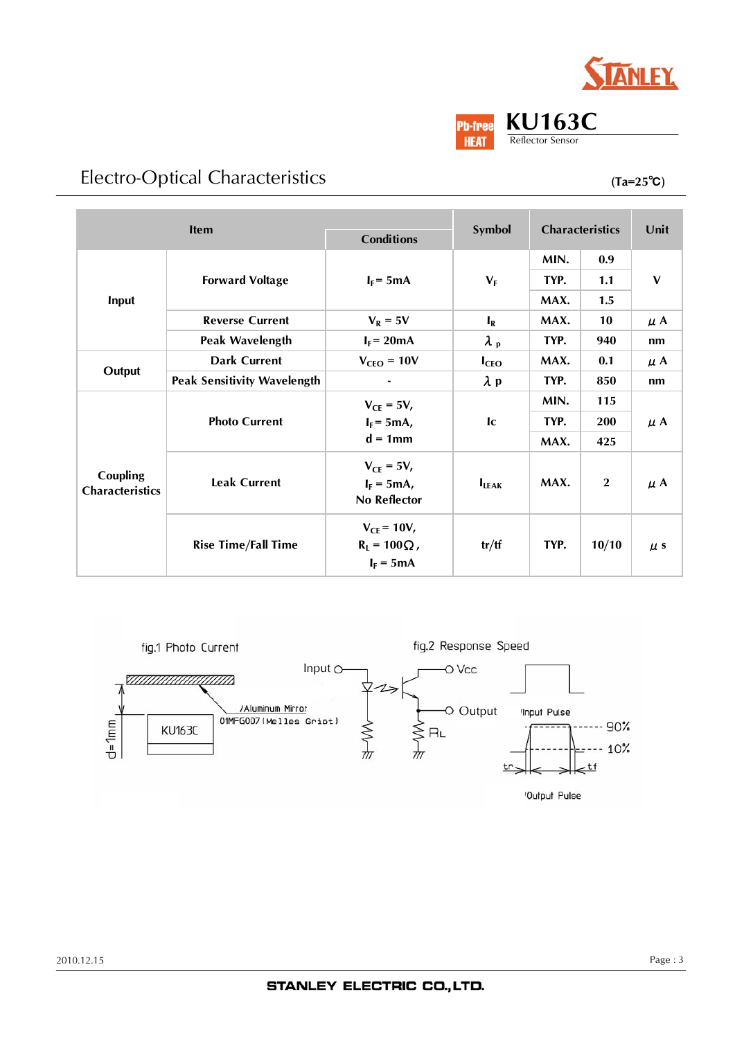

# Electro-Optical Characteristics

**(Ta=25**℃**)**

| <b>Item</b><br><b>Conditions</b>   |                                    |                        | <b>Characteristics</b><br>Symbol |      | Unit         |              |
|------------------------------------|------------------------------------|------------------------|----------------------------------|------|--------------|--------------|
|                                    |                                    |                        |                                  |      |              |              |
|                                    | <b>Forward Voltage</b>             | $I_F = 5mA$            | $V_F$                            | MIN. | 0.9          | $\mathbf{V}$ |
|                                    |                                    |                        |                                  | TYP. | 1.1          |              |
| Input                              |                                    |                        |                                  | MAX. | 1.5          |              |
|                                    | <b>Reverse Current</b>             | $V_R = 5V$             | $I_R$                            | MAX. | 10           | $\mu$ A      |
|                                    | <b>Peak Wavelength</b>             | $I_F = 20mA$           | $\lambda_{\rm p}$                | TYP. | 940          | nm           |
|                                    | <b>Dark Current</b>                | $V_{\text{CEO}} = 10V$ | I <sub>CEO</sub>                 | MAX. | 0.1          | $\mu$ A      |
| Output                             | <b>Peak Sensitivity Wavelength</b> |                        | $\lambda$ p                      | TYP. | 850          | nm           |
|                                    | <b>Photo Current</b>               | $V_{CE} = 5V$ ,        | c                                | MIN. | 115          | $\mu$ A      |
|                                    |                                    | $I_F = 5mA,$           |                                  | TYP. | 200          |              |
|                                    |                                    | $d = 1$ mm             |                                  | MAX. | 425          |              |
|                                    | <b>Leak Current</b>                | $V_{CE} = 5V$ ,        |                                  |      |              |              |
| Coupling<br><b>Characteristics</b> |                                    | $I_F = 5mA$ ,          | $I_{LEAK}$                       | MAX. | $\mathbf{2}$ | $\mu$ A      |
|                                    |                                    | No Reflector           |                                  |      |              |              |
|                                    | <b>Rise Time/Fall Time</b>         | $V_{CF} = 10V$ ,       |                                  |      |              |              |
|                                    |                                    | $R_1 = 100 \Omega$ ,   | tr/ff                            | TYP. | 10/10        | $\mu$ s      |
|                                    |                                    | $I_F = 5mA$            |                                  |      |              |              |

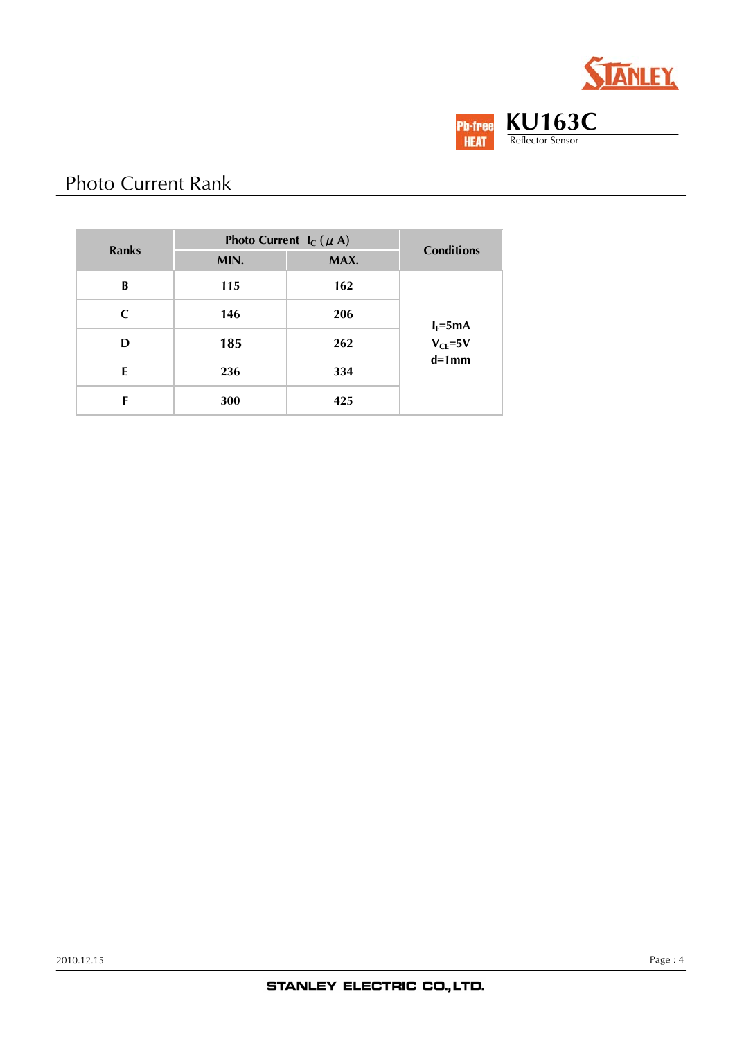



# Photo Current Rank

| Ranks | Photo Current $I_C (\mu A)$ |      |                              |  |
|-------|-----------------------------|------|------------------------------|--|
|       | MIN.                        | MAX. | <b>Conditions</b>            |  |
| B     | 115                         | 162  |                              |  |
| C     | 146                         | 206  |                              |  |
| D     | 185                         | 262  | $I_F = 5mA$<br>$V_{CE} = 5V$ |  |
| E     | 236                         | 334  | $d=1$ mm                     |  |
| F     | 300                         | 425  |                              |  |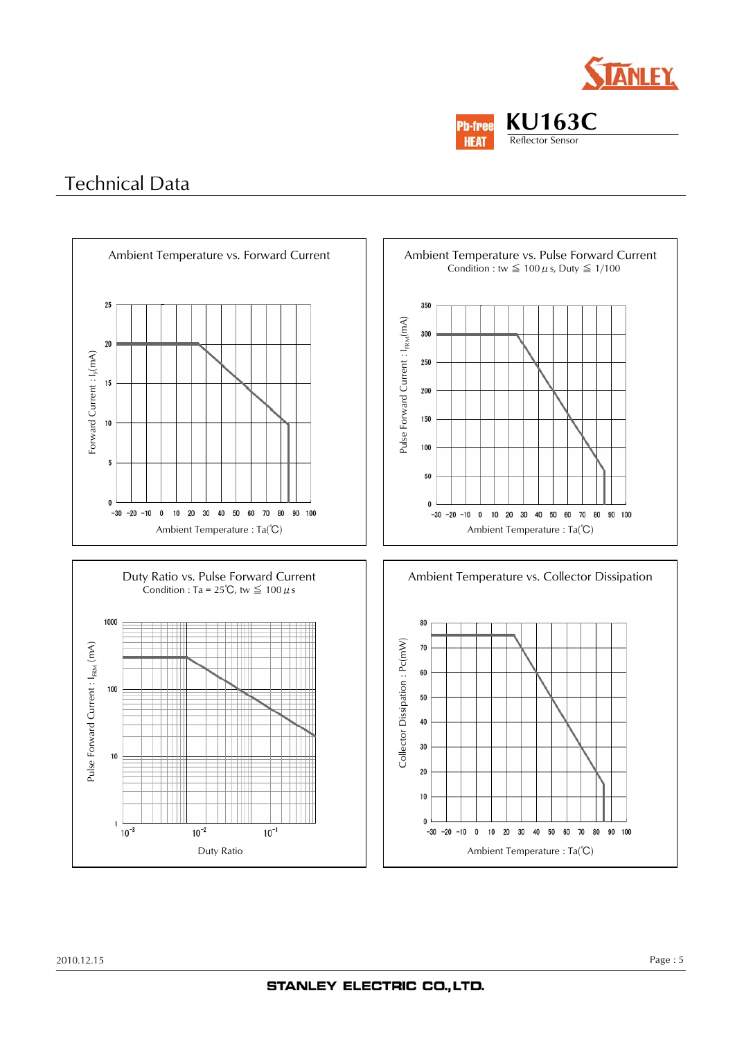



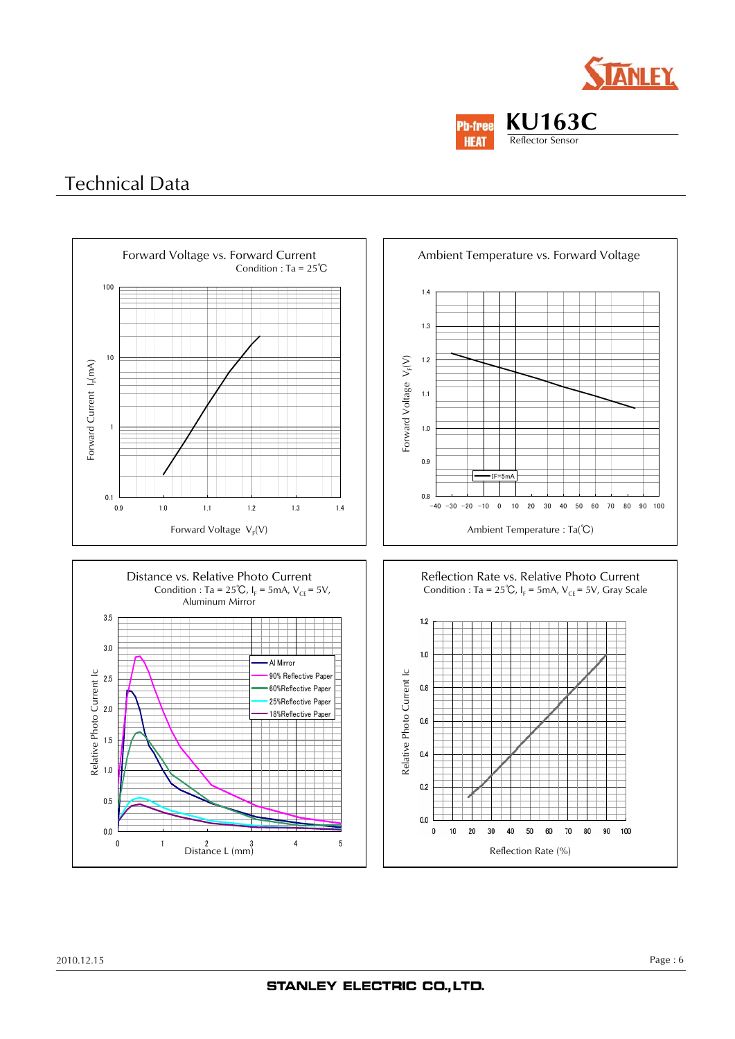



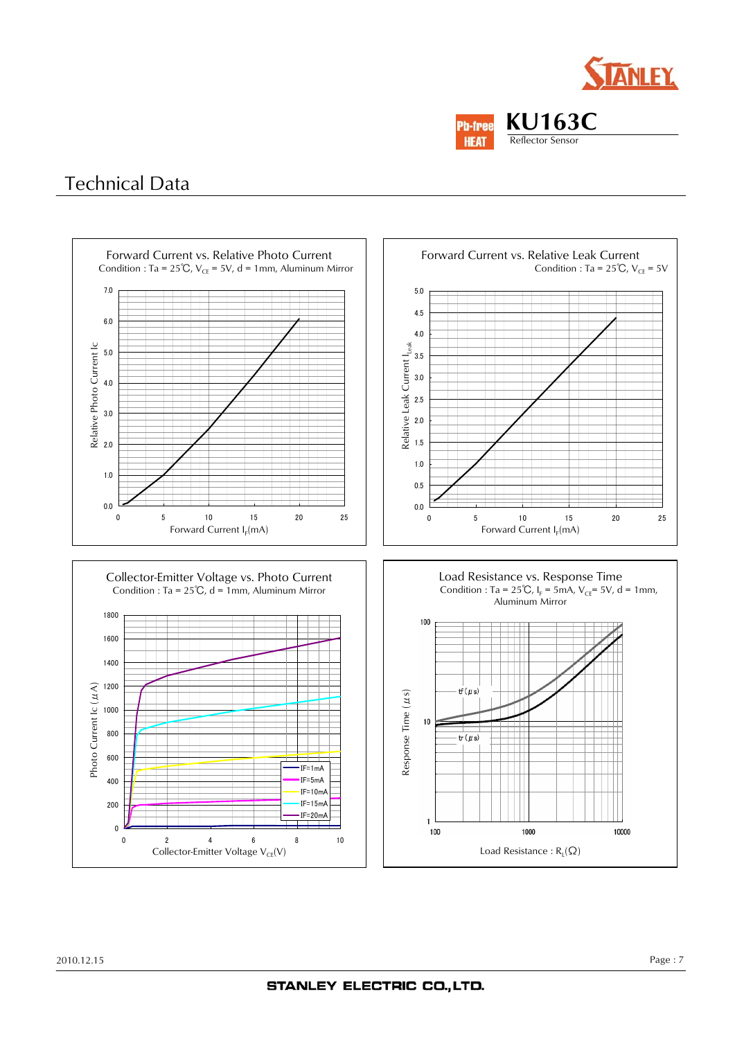



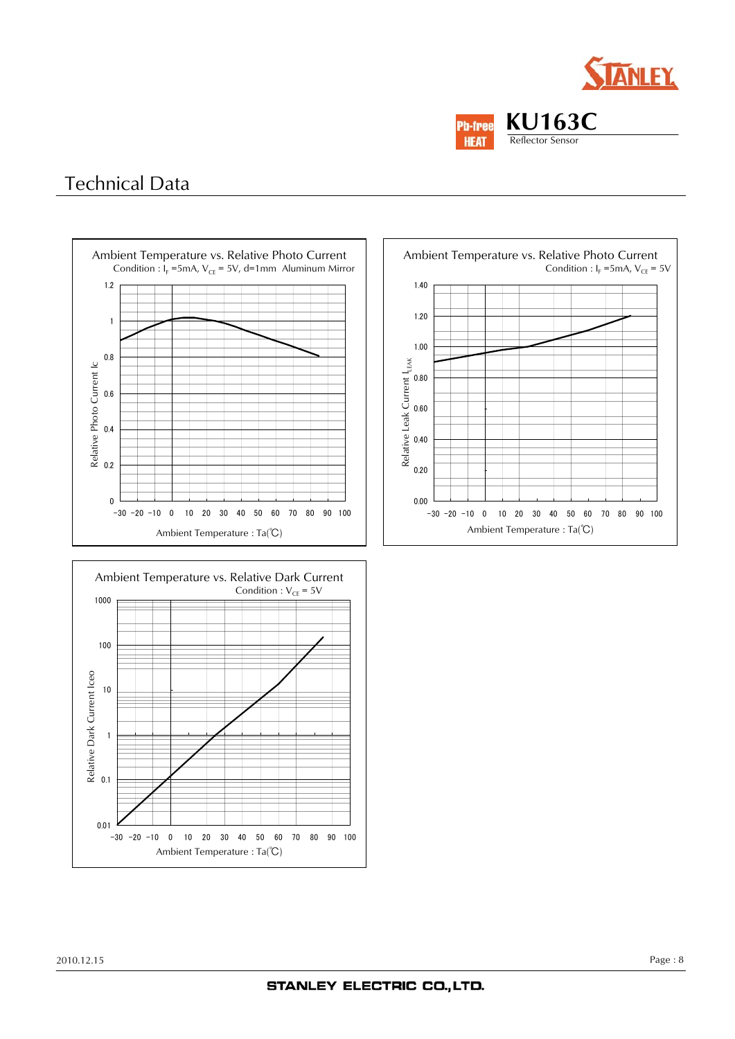







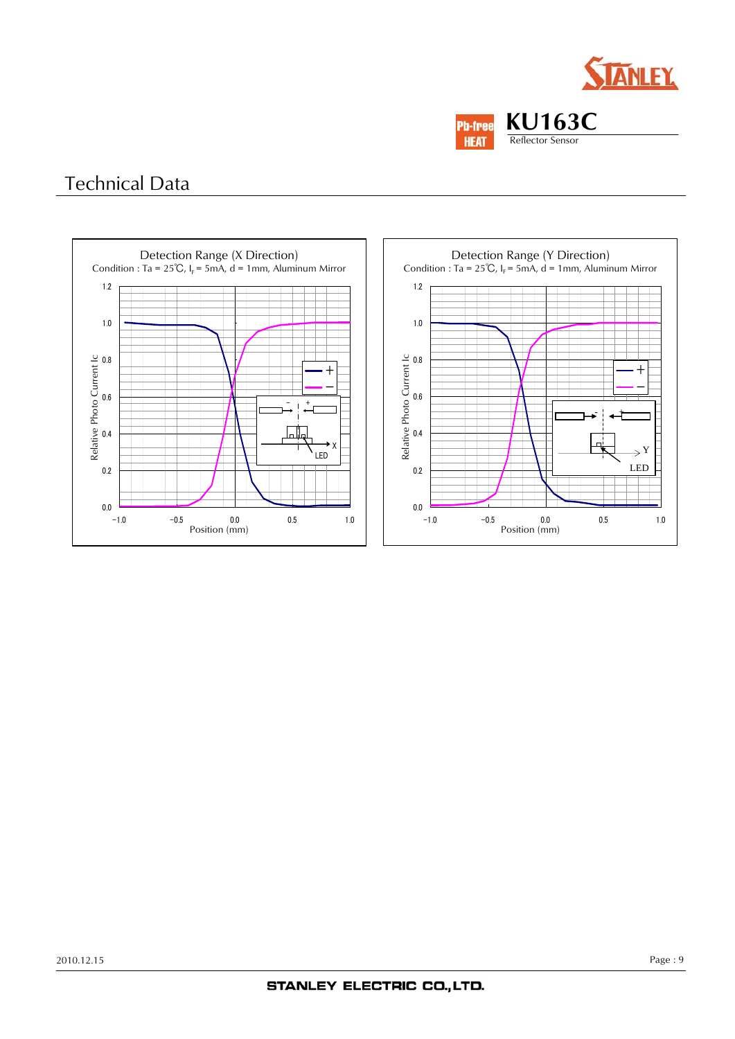



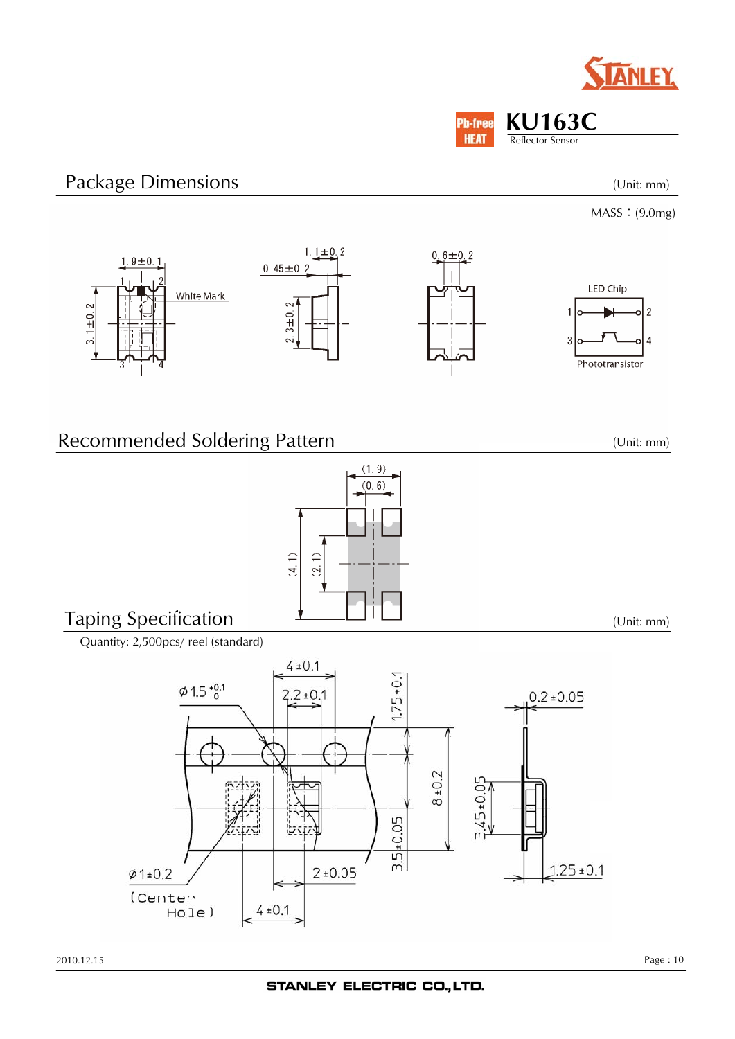**KU163C** Reflector Sensor

**Pb-free HEAT** 

# Package Dimensions

MASS:(9.0mg)

(Unit: mm)



 $(1.9)$  $(0, 6)$ 

 $(4.1)$  $(2, 1)$ 

### Recommended Soldering Pattern

Taping Specification

Quantity: 2,500pcs/ reel (standard)



(Unit: mm)

(Unit: mm)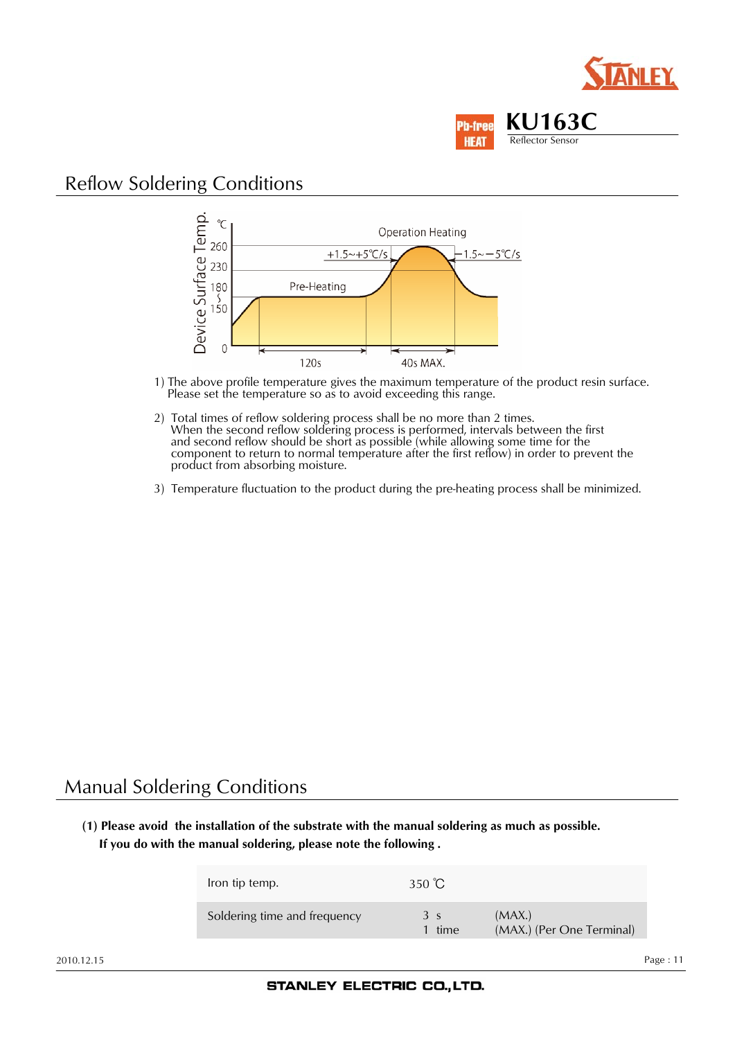



#### Reflow Soldering Conditions



- 1) The above profile temperature gives the maximum temperature of the product resin surface. Please set the temperature so as to avoid exceeding this range.
- 2) Total times of reflow soldering process shall be no more than 2 times. When the second reflow soldering process is performed, intervals between the first and second reflow should be short as possible (while allowing some time for the component to return to normal temperature after the first reflow) in order to prevent the product from absorbing moisture.
- 3) Temperature fluctuation to the product during the pre-heating process shall be minimized.

#### Manual Soldering Conditions

**(1) Please avoid the installation of the substrate with the manual soldering as much as possible. If you do with the manual soldering, please note the following .**

| Iron tip temp.               | 350 $\degree$ C          |                                     |
|------------------------------|--------------------------|-------------------------------------|
| Soldering time and frequency | 3 <sub>s</sub><br>1 time | (MAX.)<br>(MAX.) (Per One Terminal) |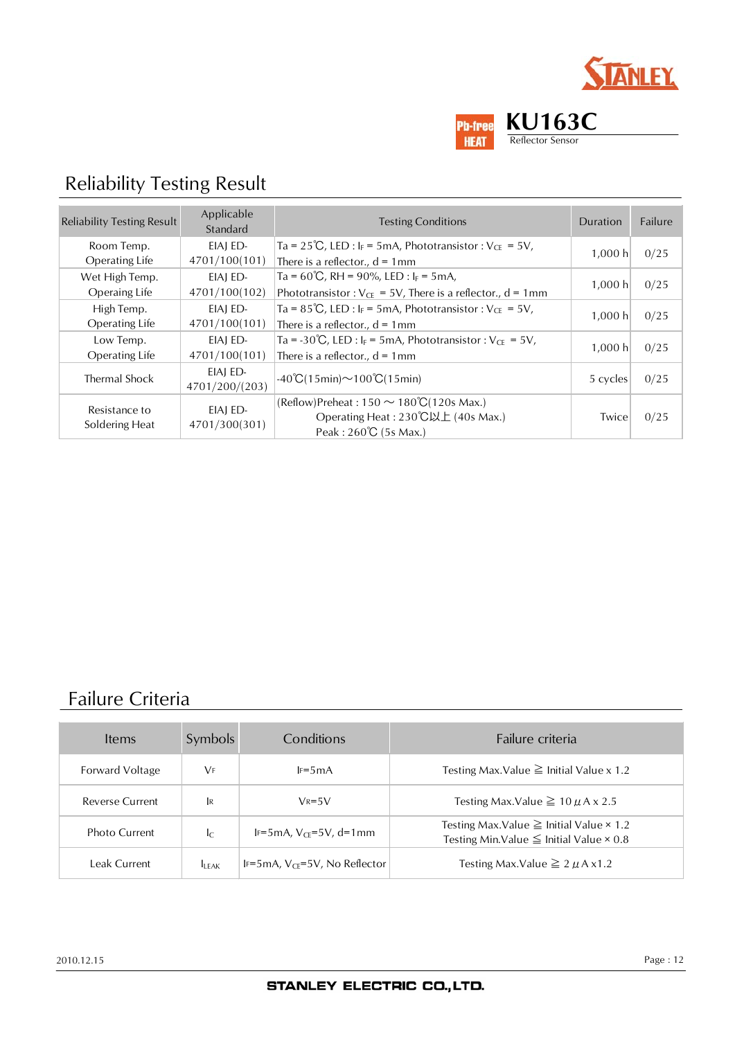



# Reliability Testing Result

| <b>Reliability Testing Result</b> | Applicable<br>Standard     | <b>Testing Conditions</b>                                                                | Duration | Failure |
|-----------------------------------|----------------------------|------------------------------------------------------------------------------------------|----------|---------|
| Room Temp.                        | EIAI ED-                   | Ta = $25^{\circ}C$ , LED : I <sub>F</sub> = 5mA, Phototransistor : V <sub>CE</sub> = 5V, | 1.000 h  |         |
| <b>Operating Life</b>             | 4701/100(101)              | There is a reflector., $d = 1$ mm                                                        |          | 0/25    |
| Wet High Temp.                    | EIAI ED-                   | Ta = $60^{\circ}C$ , RH = $90\%$ , LED : I <sub>F</sub> = 5mA,                           | 1,000 h  |         |
| Operaing Life                     | 4701/100(102)              | Phototransistor: $V_{CE} = 5V$ , There is a reflector., d = 1mm                          |          | 0/25    |
| High Temp.                        | EIAI ED-                   | Ta = 85°C, LED : $I_F$ = 5mA, Phototransistor : $V_{CE}$ = 5V,                           |          |         |
| Operating Life                    | 4701/100(101)              | There is a reflector., $d = 1$ mm                                                        | 1,000 h  | 0/25    |
| Low Temp.                         | EIAI ED-                   | Ta = -30°C, LED : $I_F$ = 5mA, Phototransistor : $V_{CE}$ = 5V,                          | 1,000 h  | 0/25    |
| <b>Operating Life</b>             | 4701/100(101)              | There is a reflector., $d = 1$ mm                                                        |          |         |
| Thermal Shock                     | EIAI ED-<br>4701/200/(203) | $-40^{\circ}C(15\text{min}) \sim 100^{\circ}C(15\text{min})$                             | 5 cycles | 0/25    |
| Resistance to                     | EIAI ED-                   | (Reflow)Preheat: $150 \sim 180^{\circ}C(120s \text{ Max.})$                              |          |         |
| Soldering Heat                    | 4701/300(301)              | Operating Heat: 230℃以上 (40s Max.)                                                        | Twice    | 0/25    |
|                                   |                            | Peak: 260°C (5s Max.)                                                                    |          |         |

## Failure Criteria

| Items                  | Symbols                 | Conditions                         | Failure criteria                                                                                            |
|------------------------|-------------------------|------------------------------------|-------------------------------------------------------------------------------------------------------------|
| Forward Voltage        | <b>VF</b>               | $F=5mA$                            | Testing Max. Value $\geq$ Initial Value x 1.2                                                               |
| <b>Reverse Current</b> | <b>IR</b>               | $V_R = 5V$                         | Testing Max.Value $\geq 10 \mu$ A x 2.5                                                                     |
| Photo Current          | $\mathsf{I}_\mathsf{C}$ | IF=5mA, $V_{CF}$ =5V, d=1mm        | Testing Max.Value $\geq$ Initial Value $\times$ 1.2<br>Testing Min. Value $\leq$ Initial Value $\times$ 0.8 |
| Leak Current           | <b>ILEAK</b>            | IF=5mA, $V_{CF}$ =5V, No Reflector | Testing Max.Value $\geq 2 \mu A x 1.2$                                                                      |